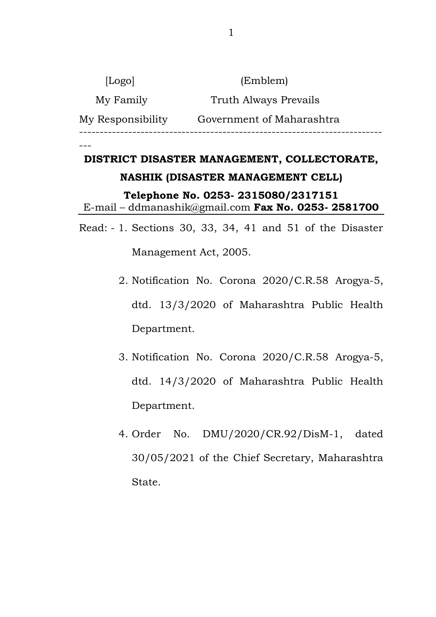| [Logo]            | (Emblem)                  |  |
|-------------------|---------------------------|--|
| My Family         | Truth Always Prevails     |  |
| My Responsibility | Government of Maharashtra |  |
|                   |                           |  |

# **DISTRICT DISASTER MANAGEMENT, COLLECTORATE, NASHIK (DISASTER MANAGEMENT CELL) Telephone No. 0253- 2315080/2317151** E-mail – ddmanashik@gmail.com **Fax No. 0253- 2581700**

---

- Read: 1. Sections 30, 33, 34, 41 and 51 of the Disaster Management Act, 2005.
	- 2. Notification No. Corona 2020/C.R.58 Arogya-5, dtd. 13/3/2020 of Maharashtra Public Health Department.
	- 3. Notification No. Corona 2020/C.R.58 Arogya-5, dtd. 14/3/2020 of Maharashtra Public Health Department.
	- 4. Order No. DMU/2020/CR.92/DisM-1, dated 30/05/2021 of the Chief Secretary, Maharashtra State.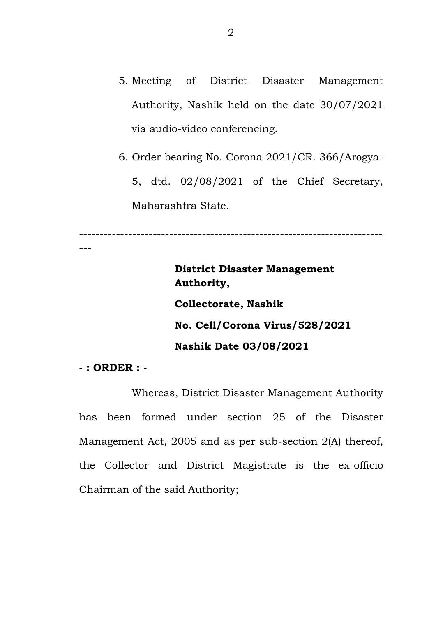- 5. Meeting of District Disaster Management Authority, Nashik held on the date 30/07/2021 via audio-video conferencing.
- 6. Order bearing No. Corona 2021/CR. 366/Arogya-5, dtd. 02/08/2021 of the Chief Secretary, Maharashtra State.

-------------------------------------------------------------------------- ---

> **District Disaster Management Authority, Collectorate, Nashik No. Cell/Corona Virus/528/2021 Nashik Date 03/08/2021**

**- : ORDER : -**

Whereas, District Disaster Management Authority has been formed under section 25 of the Disaster Management Act, 2005 and as per sub-section 2(A) thereof, the Collector and District Magistrate is the ex-officio Chairman of the said Authority;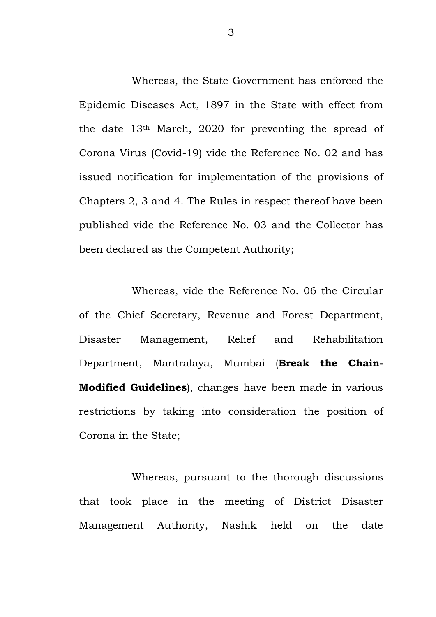Whereas, the State Government has enforced the Epidemic Diseases Act, 1897 in the State with effect from the date 13th March, 2020 for preventing the spread of Corona Virus (Covid-19) vide the Reference No. 02 and has issued notification for implementation of the provisions of Chapters 2, 3 and 4. The Rules in respect thereof have been published vide the Reference No. 03 and the Collector has been declared as the Competent Authority;

Whereas, vide the Reference No. 06 the Circular of the Chief Secretary, Revenue and Forest Department, Disaster Management, Relief and Rehabilitation Department, Mantralaya, Mumbai (**Break the Chain-Modified Guidelines**), changes have been made in various restrictions by taking into consideration the position of Corona in the State;

Whereas, pursuant to the thorough discussions that took place in the meeting of District Disaster Management Authority, Nashik held on the date

3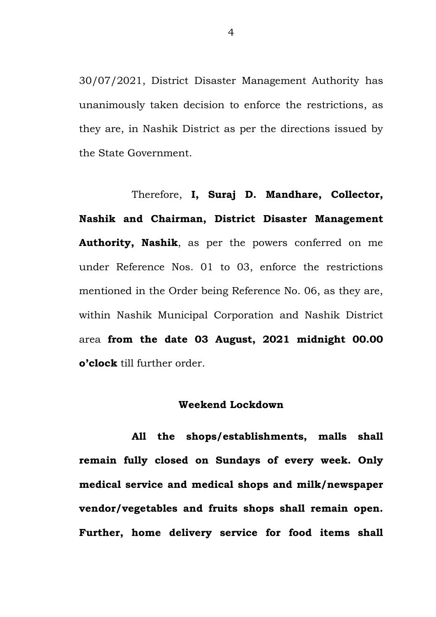30/07/2021, District Disaster Management Authority has unanimously taken decision to enforce the restrictions, as they are, in Nashik District as per the directions issued by the State Government.

Therefore, **I, Suraj D. Mandhare, Collector, Nashik and Chairman, District Disaster Management Authority, Nashik**, as per the powers conferred on me under Reference Nos. 01 to 03, enforce the restrictions mentioned in the Order being Reference No. 06, as they are, within Nashik Municipal Corporation and Nashik District area **from the date 03 August, 2021 midnight 00.00 o'clock** till further order.

## **Weekend Lockdown**

**All the shops/establishments, malls shall remain fully closed on Sundays of every week. Only medical service and medical shops and milk/newspaper vendor/vegetables and fruits shops shall remain open. Further, home delivery service for food items shall**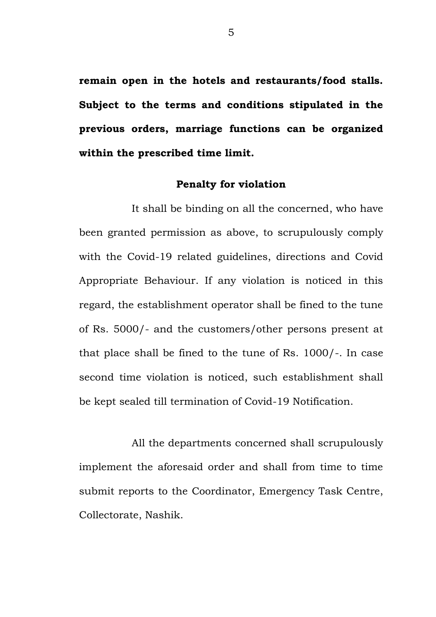**remain open in the hotels and restaurants/food stalls. Subject to the terms and conditions stipulated in the previous orders, marriage functions can be organized within the prescribed time limit.**

#### **Penalty for violation**

It shall be binding on all the concerned, who have been granted permission as above, to scrupulously comply with the Covid-19 related guidelines, directions and Covid Appropriate Behaviour. If any violation is noticed in this regard, the establishment operator shall be fined to the tune of Rs. 5000/- and the customers/other persons present at that place shall be fined to the tune of Rs. 1000/-. In case second time violation is noticed, such establishment shall be kept sealed till termination of Covid-19 Notification.

All the departments concerned shall scrupulously implement the aforesaid order and shall from time to time submit reports to the Coordinator, Emergency Task Centre, Collectorate, Nashik.

5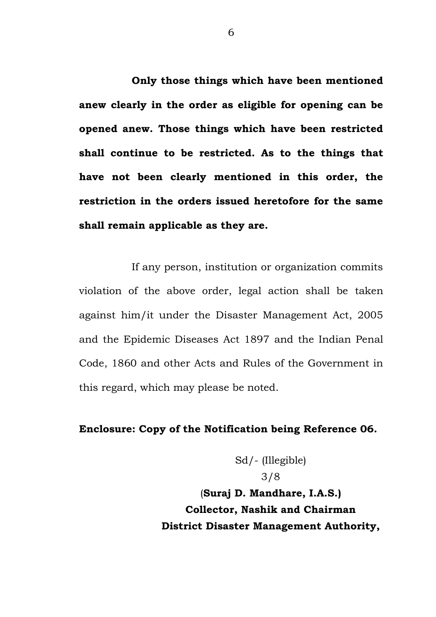**Only those things which have been mentioned anew clearly in the order as eligible for opening can be opened anew. Those things which have been restricted shall continue to be restricted. As to the things that have not been clearly mentioned in this order, the restriction in the orders issued heretofore for the same shall remain applicable as they are.**

If any person, institution or organization commits violation of the above order, legal action shall be taken against him/it under the Disaster Management Act, 2005 and the Epidemic Diseases Act 1897 and the Indian Penal Code, 1860 and other Acts and Rules of the Government in this regard, which may please be noted.

### **Enclosure: Copy of the Notification being Reference 06.**

Sd/- (Illegible) 3/8 (**Suraj D. Mandhare, I.A.S.) Collector, Nashik and Chairman District Disaster Management Authority,**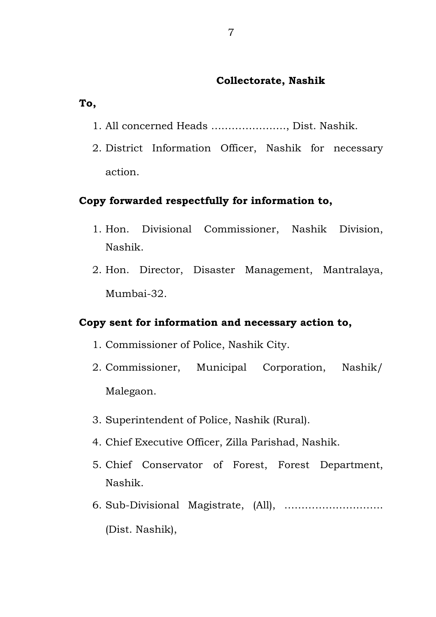## **Collectorate, Nashik**

**To,**

- 1. All concerned Heads …………………., Dist. Nashik.
- 2. District Information Officer, Nashik for necessary action.

## **Copy forwarded respectfully for information to,**

- 1. Hon. Divisional Commissioner, Nashik Division, Nashik.
- 2. Hon. Director, Disaster Management, Mantralaya, Mumbai-32.

## **Copy sent for information and necessary action to,**

- 1. Commissioner of Police, Nashik City.
- 2. Commissioner, Municipal Corporation, Nashik/ Malegaon.
- 3. Superintendent of Police, Nashik (Rural).
- 4. Chief Executive Officer, Zilla Parishad, Nashik.
- 5. Chief Conservator of Forest, Forest Department, Nashik.
- 6. Sub-Divisional Magistrate, (All), ……………………….. (Dist. Nashik),